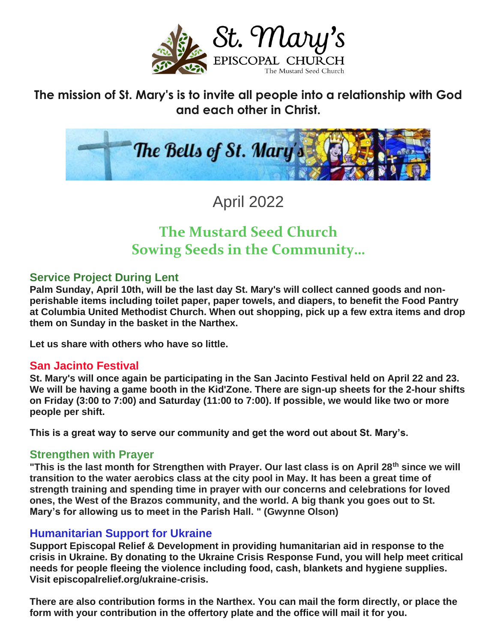

**The mission of St. Mary's is to invite all people into a relationship with God and each other in Christ.**



April 2022

# **The Mustard Seed Church Sowing Seeds in the Community…**

#### **Service Project During Lent**

**Palm Sunday, April 10th, will be the last day St. Mary's will collect canned goods and nonperishable items including toilet paper, paper towels, and diapers, to benefit the Food Pantry at Columbia United Methodist Church. When out shopping, pick up a few extra items and drop them on Sunday in the basket in the Narthex.**

**Let us share with others who have so little.**

#### **San Jacinto Festival**

**St. Mary's will once again be participating in the San Jacinto Festival held on April 22 and 23. We will be having a game booth in the Kid'Zone. There are sign-up sheets for the 2-hour shifts on Friday (3:00 to 7:00) and Saturday (11:00 to 7:00). If possible, we would like two or more people per shift.**

**This is a great way to serve our community and get the word out about St. Mary's.**

#### **Strengthen with Prayer**

**"This is the last month for Strengthen with Prayer. Our last class is on April 28th since we will transition to the water aerobics class at the city pool in May. It has been a great time of strength training and spending time in prayer with our concerns and celebrations for loved ones, the West of the Brazos community, and the world. A big thank you goes out to St. Mary's for allowing us to meet in the Parish Hall. " (Gwynne Olson)**

#### **Humanitarian Support for Ukraine**

**Support Episcopal Relief & Development in providing humanitarian aid in response to the crisis in Ukraine. By donating to the Ukraine Crisis Response Fund, you will help meet critical needs for people fleeing the violence including food, cash, blankets and hygiene supplies. Visit episcopalrelief.org/ukraine-crisis.**

**There are also contribution forms in the Narthex. You can mail the form directly, or place the form with your contribution in the offertory plate and the office will mail it for you.**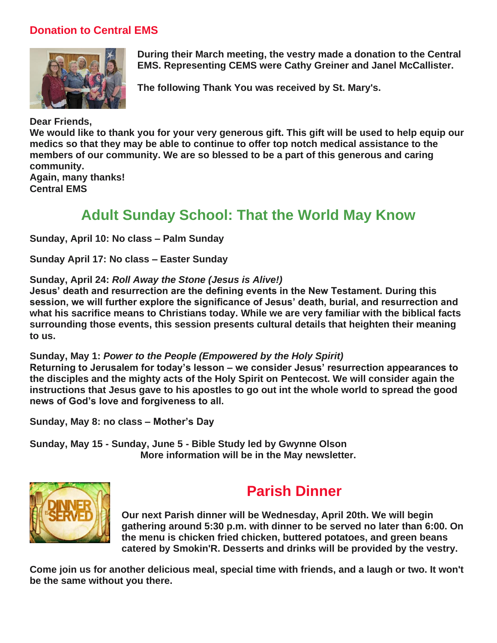#### **Donation to Central EMS**



**During their March meeting, the vestry made a donation to the Central EMS. Representing CEMS were Cathy Greiner and Janel McCallister.**

**The following Thank You was received by St. Mary's.**

**Dear Friends, We would like to thank you for your very generous gift. This gift will be used to help equip our medics so that they may be able to continue to offer top notch medical assistance to the members of our community. We are so blessed to be a part of this generous and caring community. Again, many thanks!**

**Central EMS**

#### **Adult Sunday School: That the World May Know**

**Sunday, April 10: No class – Palm Sunday**

**Sunday April 17: No class – Easter Sunday**

#### **Sunday, April 24:** *Roll Away the Stone (Jesus is Alive!)*

**Jesus' death and resurrection are the defining events in the New Testament. During this session, we will further explore the significance of Jesus' death, burial, and resurrection and what his sacrifice means to Christians today. While we are very familiar with the biblical facts surrounding those events, this session presents cultural details that heighten their meaning to us.**

#### **Sunday, May 1:** *Power to the People (Empowered by the Holy Spirit)*

**Returning to Jerusalem for today's lesson – we consider Jesus' resurrection appearances to the disciples and the mighty acts of the Holy Spirit on Pentecost. We will consider again the instructions that Jesus gave to his apostles to go out int the whole world to spread the good news of God's love and forgiveness to all.**

**Sunday, May 8: no class – Mother's Day**

**Sunday, May 15 - Sunday, June 5 - Bible Study led by Gwynne Olson More information will be in the May newsletter.**



## **Parish Dinner**

**Our next Parish dinner will be Wednesday, April 20th. We will begin gathering around 5:30 p.m. with dinner to be served no later than 6:00. On the menu is chicken fried chicken, buttered potatoes, and green beans catered by Smokin'R. Desserts and drinks will be provided by the vestry.**

**Come join us for another delicious meal, special time with friends, and a laugh or two. It won't be the same without you there.**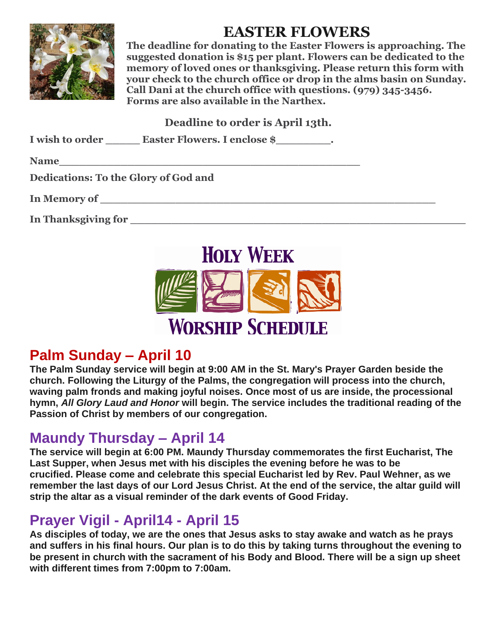

# **EASTER FLOWERS**

**The deadline for donating to the Easter Flowers is approaching. The suggested donation is \$15 per plant. Flowers can be dedicated to the memory of loved ones or thanksgiving. Please return this form with your check to the church office or drop in the alms basin on Sunday. Call Dani at the church office with questions. (979) 345-3456. Forms are also available in the Narthex.**

**Deadline to order is April 13th.**

| I wish to order<br><b>Easter Flowers. I enclose \$</b> |  |
|--------------------------------------------------------|--|
|--------------------------------------------------------|--|

| <b>Name</b> |  |  |  |  |  |  |  |
|-------------|--|--|--|--|--|--|--|
|             |  |  |  |  |  |  |  |

**Dedications: To the Glory of God and**

**In Memory of \_\_\_\_\_\_\_\_\_\_\_\_\_\_\_\_\_\_\_\_\_\_\_\_\_\_\_\_\_\_\_\_\_\_\_\_\_\_\_\_\_\_\_\_\_\_\_\_\_**

**In Thanksgiving for \_\_\_\_\_\_\_\_\_\_\_\_\_\_\_\_\_\_\_\_\_\_\_\_\_\_\_\_\_\_\_\_\_\_\_\_\_\_\_\_\_\_\_\_\_\_\_\_\_**



# **Palm Sunday – April 10**

**The Palm Sunday service will begin at 9:00 AM in the St. Mary's Prayer Garden beside the church. Following the Liturgy of the Palms, the congregation will process into the church, waving palm fronds and making joyful noises. Once most of us are inside, the processional hymn,** *All Glory Laud and Honor* **will begin. The service includes the traditional reading of the Passion of Christ by members of our congregation.**

## **Maundy Thursday – April 14**

**The service will begin at 6:00 PM. Maundy Thursday commemorates the first Eucharist, The Last Supper, when Jesus met with his disciples the evening before he was to be crucified. Please come and celebrate this special Eucharist led by Rev. Paul Wehner, as we remember the last days of our Lord Jesus Christ. At the end of the service, the altar guild will strip the altar as a visual reminder of the dark events of Good Friday.**

## **Prayer Vigil - April14 - April 15**

**As disciples of today, we are the ones that Jesus asks to stay awake and watch as he prays and suffers in his final hours. Our plan is to do this by taking turns throughout the evening to be present in church with the sacrament of his Body and Blood. There will be a sign up sheet with different times from 7:00pm to 7:00am.**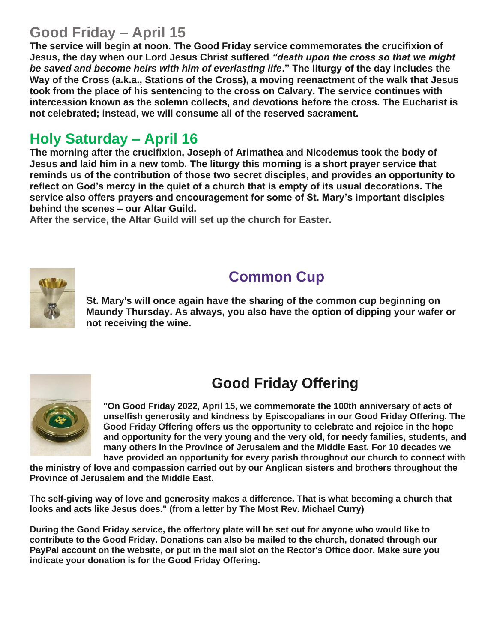#### **Good Friday – April 15**

**The service will begin at noon. The Good Friday service commemorates the crucifixion of Jesus, the day when our Lord Jesus Christ suffered** *"death upon the cross so that we might be saved and become heirs with him of everlasting life***." The liturgy of the day includes the Way of the Cross (a.k.a., Stations of the Cross), a moving reenactment of the walk that Jesus took from the place of his sentencing to the cross on Calvary. The service continues with intercession known as the solemn collects, and devotions before the cross. The Eucharist is not celebrated; instead, we will consume all of the reserved sacrament.**

#### **Holy Saturday – April 16**

**The morning after the crucifixion, Joseph of Arimathea and Nicodemus took the body of Jesus and laid him in a new tomb. The liturgy this morning is a short prayer service that reminds us of the contribution of those two secret disciples, and provides an opportunity to reflect on God's mercy in the quiet of a church that is empty of its usual decorations. The service also offers prayers and encouragement for some of St. Mary's important disciples behind the scenes – our Altar Guild.** 

**After the service, the Altar Guild will set up the church for Easter.**



## **Common Cup**

**St. Mary's will once again have the sharing of the common cup beginning on Maundy Thursday. As always, you also have the option of dipping your wafer or not receiving the wine.**



# **Good Friday Offering**

**"On Good Friday 2022, April 15, we commemorate the 100th anniversary of acts of unselfish generosity and kindness by Episcopalians in our Good Friday Offering. The Good Friday Offering offers us the opportunity to celebrate and rejoice in the hope and opportunity for the very young and the very old, for needy families, students, and many others in the Province of Jerusalem and the Middle East. For 10 decades we have provided an opportunity for every parish throughout our church to connect with** 

**the ministry of love and compassion carried out by our Anglican sisters and brothers throughout the Province of Jerusalem and the Middle East.**

**The self-giving way of love and generosity makes a difference. That is what becoming a church that looks and acts like Jesus does." (from a letter by The Most Rev. Michael Curry)**

**During the Good Friday service, the offertory plate will be set out for anyone who would like to contribute to the Good Friday. Donations can also be mailed to the church, donated through our PayPal account on the website, or put in the mail slot on the Rector's Office door. Make sure you indicate your donation is for the Good Friday Offering.**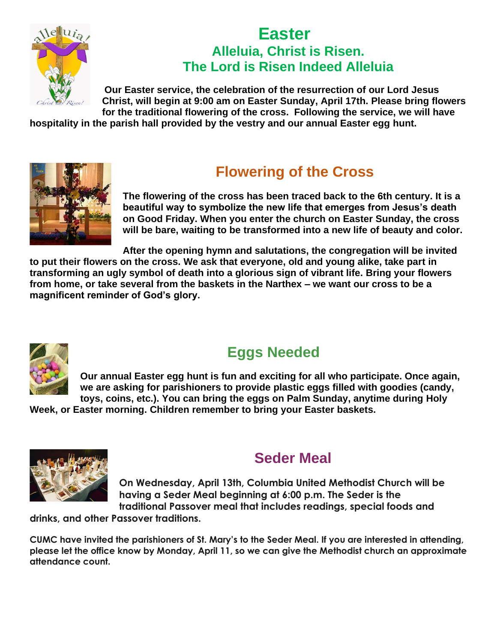

#### **Easter Alleluia, Christ is Risen. The Lord is Risen Indeed Alleluia**

**Our Easter service, the celebration of the resurrection of our Lord Jesus Christ, will begin at 9:00 am on Easter Sunday, April 17th. Please bring flowers for the traditional flowering of the cross. Following the service, we will have** 

**hospitality in the parish hall provided by the vestry and our annual Easter egg hunt.**



## **Flowering of the Cross**

**The flowering of the cross has been traced back to the 6th century. It is a beautiful way to symbolize the new life that emerges from Jesus's death on Good Friday. When you enter the church on Easter Sunday, the cross will be bare, waiting to be transformed into a new life of beauty and color.**

**After the opening hymn and salutations, the congregation will be invited** 

**to put their flowers on the cross. We ask that everyone, old and young alike, take part in transforming an ugly symbol of death into a glorious sign of vibrant life. Bring your flowers from home, or take several from the baskets in the Narthex – we want our cross to be a magnificent reminder of God's glory.**



# **Eggs Needed**

**Our annual Easter egg hunt is fun and exciting for all who participate. Once again, we are asking for parishioners to provide plastic eggs filled with goodies (candy, toys, coins, etc.). You can bring the eggs on Palm Sunday, anytime during Holy** 

**Week, or Easter morning. Children remember to bring your Easter baskets.**



#### **Seder Meal**

**On Wednesday, April 13th, Columbia United Methodist Church will be having a Seder Meal beginning at 6:00 p.m. The Seder is the traditional Passover meal that includes readings, special foods and** 

**drinks, and other Passover traditions.**

**CUMC have invited the parishioners of St. Mary's to the Seder Meal. If you are interested in attending, please let the office know by Monday, April 11, so we can give the Methodist church an approximate attendance count.**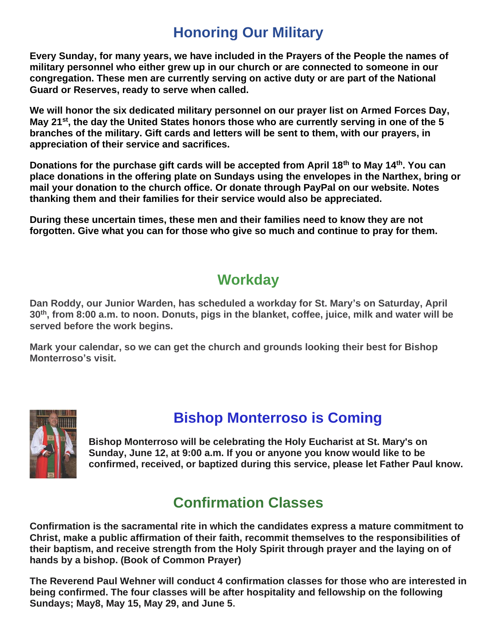## **Honoring Our Military**

**Every Sunday, for many years, we have included in the Prayers of the People the names of military personnel who either grew up in our church or are connected to someone in our congregation. These men are currently serving on active duty or are part of the National Guard or Reserves, ready to serve when called.**

**We will honor the six dedicated military personnel on our prayer list on Armed Forces Day, May 21st, the day the United States honors those who are currently serving in one of the 5 branches of the military. Gift cards and letters will be sent to them, with our prayers, in appreciation of their service and sacrifices.**

**Donations for the purchase gift cards will be accepted from April 18th to May 14th. You can place donations in the offering plate on Sundays using the envelopes in the Narthex, bring or mail your donation to the church office. Or donate through PayPal on our website. Notes thanking them and their families for their service would also be appreciated.**

**During these uncertain times, these men and their families need to know they are not forgotten. Give what you can for those who give so much and continue to pray for them.**

#### **Workday**

**Dan Roddy, our Junior Warden, has scheduled a workday for St. Mary's on Saturday, April 30th, from 8:00 a.m. to noon. Donuts, pigs in the blanket, coffee, juice, milk and water will be served before the work begins.**

**Mark your calendar, so we can get the church and grounds looking their best for Bishop Monterroso's visit.**



#### **Bishop Monterroso is Coming**

**Bishop Monterroso will be celebrating the Holy Eucharist at St. Mary's on Sunday, June 12, at 9:00 a.m. If you or anyone you know would like to be confirmed, received, or baptized during this service, please let Father Paul know.**

#### **Confirmation Classes**

**Confirmation is the sacramental rite in which the candidates express a mature commitment to Christ, make a public affirmation of their faith, recommit themselves to the responsibilities of their baptism, and receive strength from the Holy Spirit through prayer and the laying on of hands by a bishop. (Book of Common Prayer)**

**The Reverend Paul Wehner will conduct 4 confirmation classes for those who are interested in being confirmed. The four classes will be after hospitality and fellowship on the following Sundays; May8, May 15, May 29, and June 5.**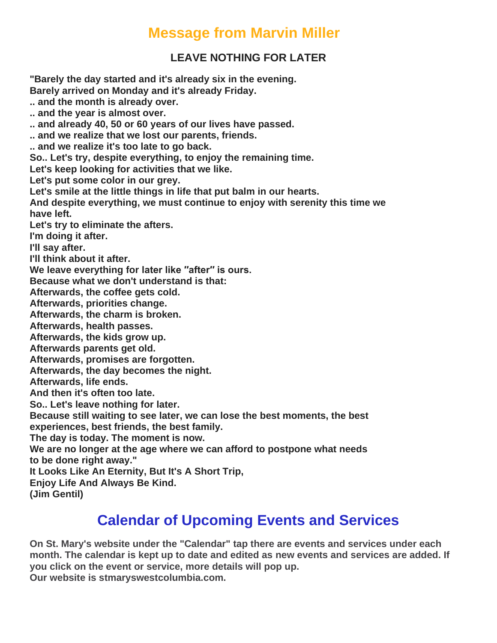#### **Message from Marvin Miller**

#### **LEAVE NOTHING FOR LATER**

**"Barely the day started and it's already six in the evening. Barely arrived on Monday and it's already Friday. .. and the month is already over. .. and the year is almost over. .. and already 40, 50 or 60 years of our lives have passed. .. and we realize that we lost our parents, friends. .. and we realize it's too late to go back. So.. Let's try, despite everything, to enjoy the remaining time. Let's keep looking for activities that we like. Let's put some color in our grey. Let's smile at the little things in life that put balm in our hearts. And despite everything, we must continue to enjoy with serenity this time we have left. Let's try to eliminate the afters. I'm doing it after. I'll say after. I'll think about it after. We leave everything for later like ′′after′′ is ours. Because what we don't understand is that: Afterwards, the coffee gets cold. Afterwards, priorities change. Afterwards, the charm is broken. Afterwards, health passes. Afterwards, the kids grow up. Afterwards parents get old. Afterwards, promises are forgotten. Afterwards, the day becomes the night. Afterwards, life ends. And then it's often too late. So.. Let's leave nothing for later. Because still waiting to see later, we can lose the best moments, the best experiences, best friends, the best family. The day is today. The moment is now. We are no longer at the age where we can afford to postpone what needs to be done right away." It Looks Like An Eternity, But It's A Short Trip, Enjoy Life And Always Be Kind. (Jim Gentil)**

## **Calendar of Upcoming Events and Services**

**On St. Mary's website under the "Calendar" tap there are events and services under each month. The calendar is kept up to date and edited as new events and services are added. If you click on the event or service, more details will pop up. Our website is stmaryswestcolumbia.com.**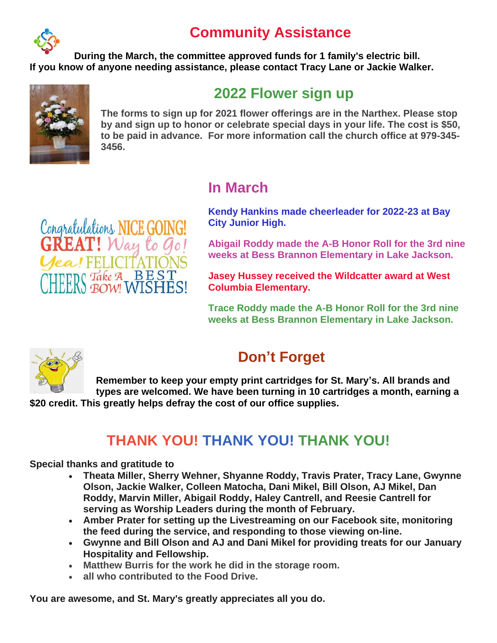## **Community Assistance**



**During the March, the committee approved funds for 1 family's electric bill. If you know of anyone needing assistance, please contact Tracy Lane or Jackie Walker.**



#### **2022 Flower sign up**

**The forms to sign up for 2021 flower offerings are in the Narthex. Please stop by and sign up to honor or celebrate special days in your life. The cost is \$50, to be paid in advance. For more information call the church office at 979-345- 3456.**

#### **In March**

**Kendy Hankins made cheerleader for 2022-23 at Bay City Junior High.**



**Jasey Hussey received the Wildcatter award at West Columbia Elementary.**

**Trace Roddy made the A-B Honor Roll for the 3rd nine weeks at Bess Brannon Elementary in Lake Jackson.**



# **Don't Forget**

**Remember to keep your empty print cartridges for St. Mary's. All brands and types are welcomed. We have been turning in 10 cartridges a month, earning a \$20 credit. This greatly helps defray the cost of our office supplies.**

#### **THANK YOU! THANK YOU! THANK YOU!**

**Special thanks and gratitude to**

Congratulations NICE GOING!

 $ea$  $H$  $H$ 

! Way to Go

S Take A BEST

- **Theata Miller, Sherry Wehner, Shyanne Roddy, Travis Prater, Tracy Lane, Gwynne Olson, Jackie Walker, Colleen Matocha, Dani Mikel, Bill Olson, AJ Mikel, Dan Roddy, Marvin Miller, Abigail Roddy, Haley Cantrell, and Reesie Cantrell for serving as Worship Leaders during the month of February.**
- **Amber Prater for setting up the Livestreaming on our Facebook site, monitoring the feed during the service, and responding to those viewing on-line.**
- **Gwynne and Bill Olson and AJ and Dani Mikel for providing treats for our January Hospitality and Fellowship.**
- **Matthew Burris for the work he did in the storage room.**
- **all who contributed to the Food Drive.**

**You are awesome, and St. Mary's greatly appreciates all you do.**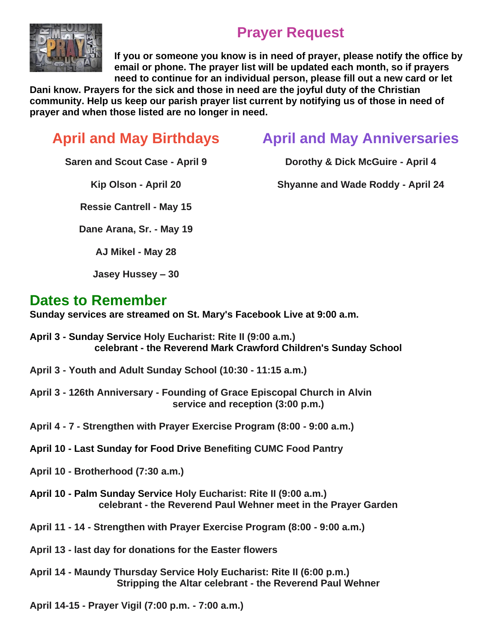

## **Prayer Request**

**If you or someone you know is in need of prayer, please notify the office by email or phone. The prayer list will be updated each month, so if prayers need to continue for an individual person, please fill out a new card or let** 

**Dani know. Prayers for the sick and those in need are the joyful duty of the Christian community. Help us keep our parish prayer list current by notifying us of those in need of prayer and when those listed are no longer in need.**

# **April and May Birthdays**

## **April and May Anniversaries**

**Dorothy & Dick McGuire - April 4**

**Saren and Scout Case - April 9**

**Kip Olson - April 20**

**Shyanne and Wade Roddy - April 24**

**Ressie Cantrell - May 15**

**Dane Arana, Sr. - May 19**

**AJ Mikel - May 28**

**Jasey Hussey – 30**

#### **Dates to Remember**

**Sunday services are streamed on St. Mary's Facebook Live at 9:00 a.m.**

- **April 3 - Sunday Service Holy Eucharist: Rite II (9:00 a.m.) celebrant - the Reverend Mark Crawford Children's Sunday School**
- **April 3 - Youth and Adult Sunday School (10:30 - 11:15 a.m.)**
- **April 3 - 126th Anniversary - Founding of Grace Episcopal Church in Alvin service and reception (3:00 p.m.)**
- **April 4 - 7 - Strengthen with Prayer Exercise Program (8:00 - 9:00 a.m.)**
- **April 10 - Last Sunday for Food Drive Benefiting CUMC Food Pantry**
- **April 10 - Brotherhood (7:30 a.m.)**
- **April 10 - Palm Sunday Service Holy Eucharist: Rite II (9:00 a.m.) celebrant - the Reverend Paul Wehner meet in the Prayer Garden**
- **April 11 - 14 - Strengthen with Prayer Exercise Program (8:00 - 9:00 a.m.)**
- **April 13 - last day for donations for the Easter flowers**
- **April 14 - Maundy Thursday Service Holy Eucharist: Rite II (6:00 p.m.) Stripping the Altar celebrant - the Reverend Paul Wehner**

**April 14-15 - Prayer Vigil (7:00 p.m. - 7:00 a.m.)**